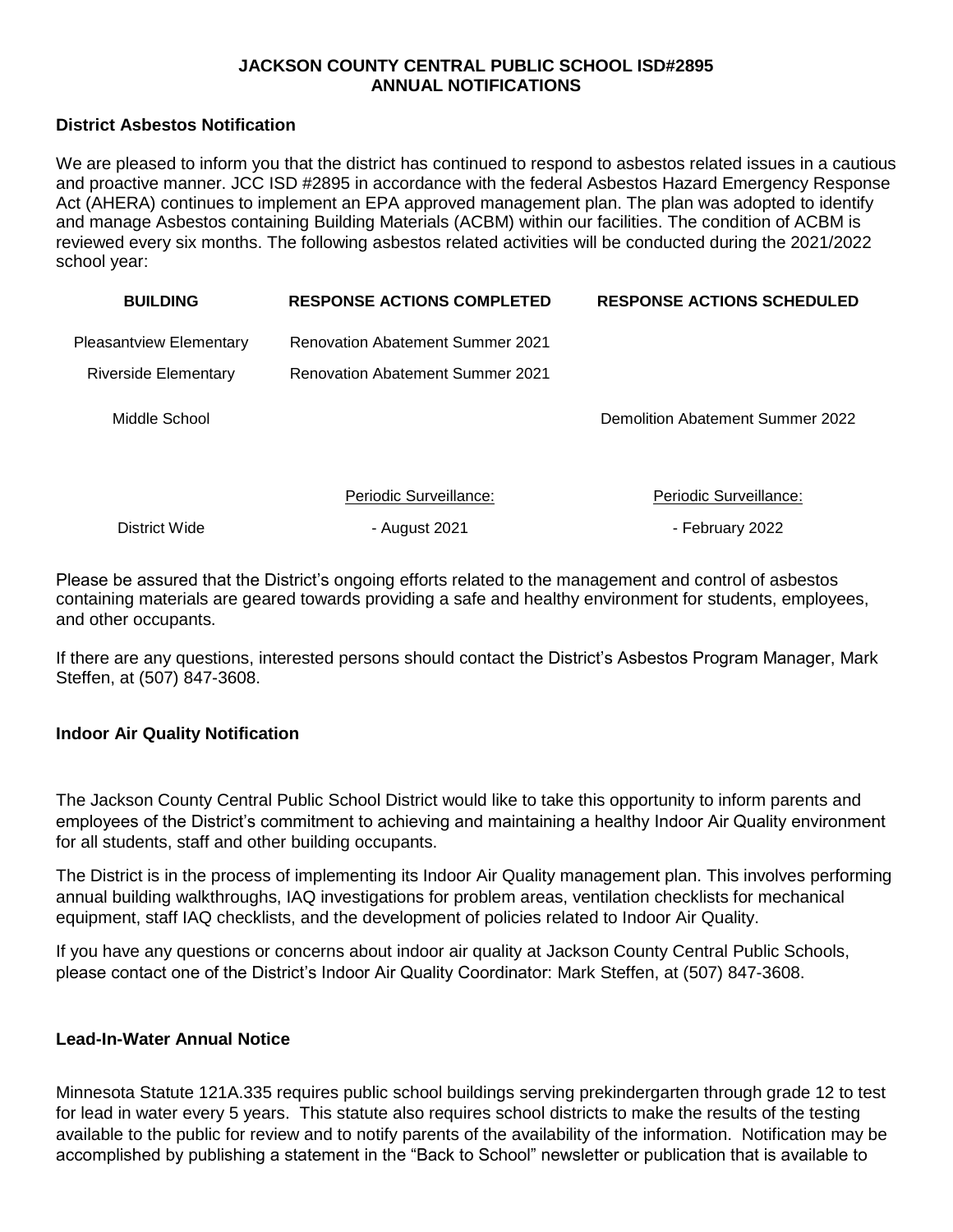## **JACKSON COUNTY CENTRAL PUBLIC SCHOOL ISD#2895 ANNUAL NOTIFICATIONS**

## **District Asbestos Notification**

We are pleased to inform you that the district has continued to respond to asbestos related issues in a cautious and proactive manner. JCC ISD #2895 in accordance with the federal Asbestos Hazard Emergency Response Act (AHERA) continues to implement an EPA approved management plan. The plan was adopted to identify and manage Asbestos containing Building Materials (ACBM) within our facilities. The condition of ACBM is reviewed every six months. The following asbestos related activities will be conducted during the 2021/2022 school year:

| <b>BUILDING</b>                | <b>RESPONSE ACTIONS COMPLETED</b>       | <b>RESPONSE ACTIONS SCHEDULED</b> |
|--------------------------------|-----------------------------------------|-----------------------------------|
| <b>Pleasantview Elementary</b> | <b>Renovation Abatement Summer 2021</b> |                                   |
| <b>Riverside Elementary</b>    | <b>Renovation Abatement Summer 2021</b> |                                   |
| Middle School                  |                                         | Demolition Abatement Summer 2022  |
|                                | Periodic Surveillance:                  | Periodic Surveillance:            |
| District Wide                  | - August 2021                           | - February 2022                   |

Please be assured that the District's ongoing efforts related to the management and control of asbestos containing materials are geared towards providing a safe and healthy environment for students, employees, and other occupants.

If there are any questions, interested persons should contact the District's Asbestos Program Manager, Mark Steffen, at (507) 847-3608.

## **Indoor Air Quality Notification**

The Jackson County Central Public School District would like to take this opportunity to inform parents and employees of the District's commitment to achieving and maintaining a healthy Indoor Air Quality environment for all students, staff and other building occupants.

The District is in the process of implementing its Indoor Air Quality management plan. This involves performing annual building walkthroughs, IAQ investigations for problem areas, ventilation checklists for mechanical equipment, staff IAQ checklists, and the development of policies related to Indoor Air Quality.

If you have any questions or concerns about indoor air quality at Jackson County Central Public Schools, please contact one of the District's Indoor Air Quality Coordinator: Mark Steffen, at (507) 847-3608.

### **Lead-In-Water Annual Notice**

Minnesota Statute 121A.335 requires public school buildings serving prekindergarten through grade 12 to test for lead in water every 5 years. This statute also requires school districts to make the results of the testing available to the public for review and to notify parents of the availability of the information. Notification may be accomplished by publishing a statement in the "Back to School" newsletter or publication that is available to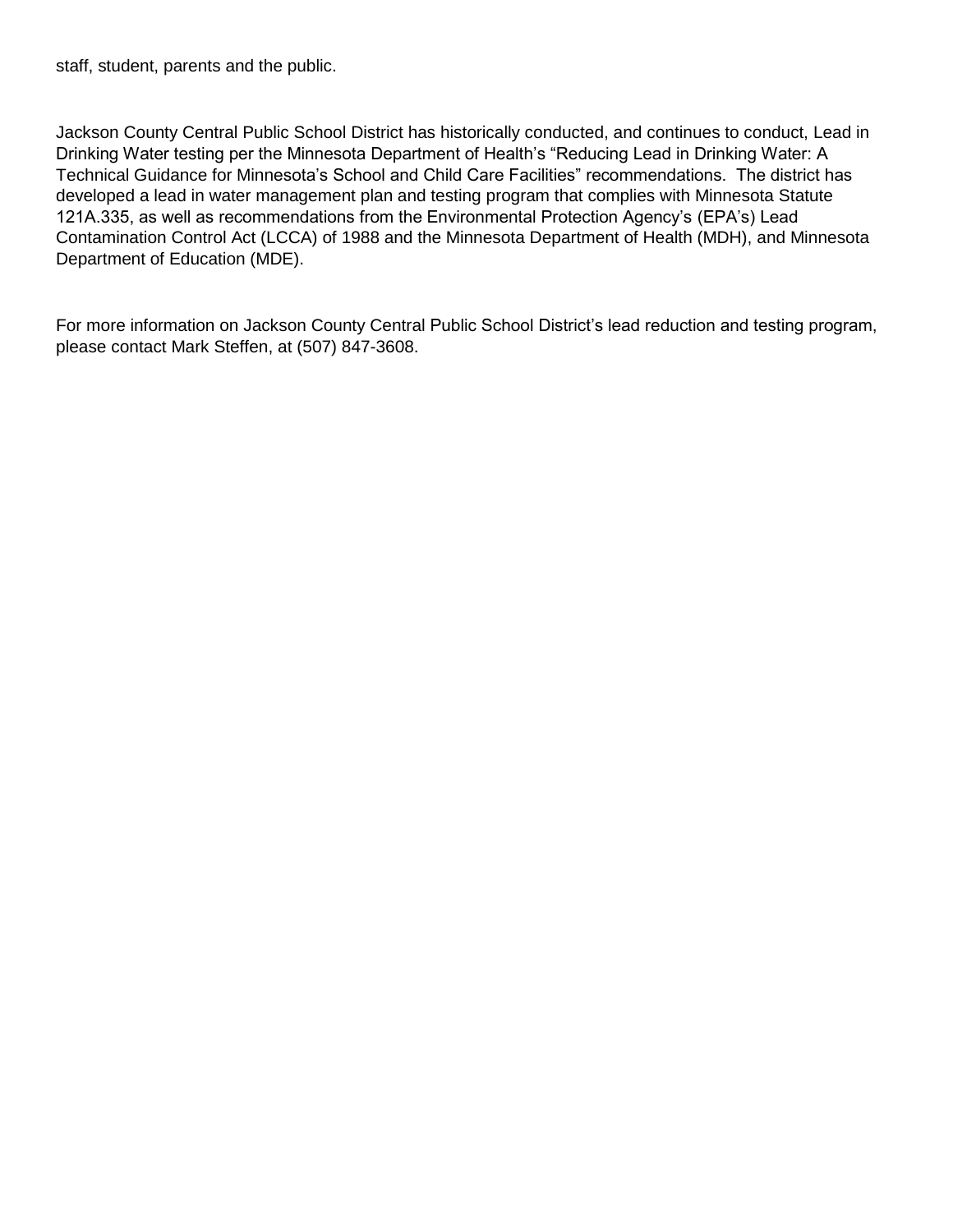staff, student, parents and the public.

Jackson County Central Public School District has historically conducted, and continues to conduct, Lead in Drinking Water testing per the Minnesota Department of Health's "Reducing Lead in Drinking Water: A Technical Guidance for Minnesota's School and Child Care Facilities" recommendations. The district has developed a lead in water management plan and testing program that complies with Minnesota Statute 121A.335, as well as recommendations from the Environmental Protection Agency's (EPA's) Lead Contamination Control Act (LCCA) of 1988 and the Minnesota Department of Health (MDH), and Minnesota Department of Education (MDE).

For more information on Jackson County Central Public School District's lead reduction and testing program, please contact Mark Steffen, at (507) 847-3608.